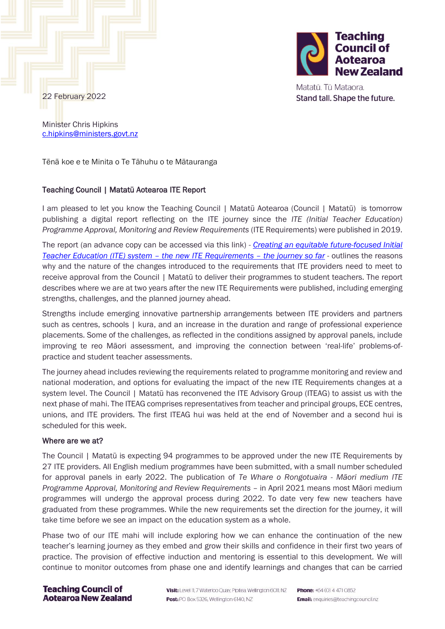

Matatū. Tū Mataora. Stand tall. Shape the future.

22 February 2022

Minister Chris Hipkins [c.hipkins@ministers.govt.nz](mailto:c.hipkins@ministers.govt.nz)

Tēnā koe e te Minita o Te Tāhuhu o te Mātauranga

# Teaching Council | Matatū Aotearoa ITE Report

I am pleased to let you know the Teaching Council | Matatū Aotearoa (Council | Matatū) is tomorrow publishing a digital report reflecting on the ITE journey since the *ITE (Initial Teacher Education) Programme Approval, Monitoring and Review Requirements* (ITE Requirements) were published in 2019.

The report (an advance copy can be accessed via this link) *- [Creating an equitable future-focused Initial](https://teachingcouncil.nz/assets/Files/Publications/TC-ITE-Journey-publication-22-Feb-2022.pdf)  [Teacher Education \(ITE\) system](https://teachingcouncil.nz/assets/Files/Publications/TC-ITE-Journey-publication-22-Feb-2022.pdf) – the new ITE Requirements – the journey so far* - outlines the reasons why and the nature of the changes introduced to the requirements that ITE providers need to meet to receive approval from the Council | Matatū to deliver their programmes to student teachers. The report describes where we are at two years after the new ITE Requirements were published, including emerging strengths, challenges, and the planned journey ahead.

Strengths include emerging innovative partnership arrangements between ITE providers and partners such as centres, schools | kura, and an increase in the duration and range of professional experience placements. Some of the challenges, as reflected in the conditions assigned by approval panels, include improving te reo Māori assessment, and improving the connection between 'real-life' problems-ofpractice and student teacher assessments.

The journey ahead includes reviewing the requirements related to programme monitoring and review and national moderation, and options for evaluating the impact of the new ITE Requirements changes at a system level. The Council | Matatū has reconvened the ITE Advisory Group (ITEAG) to assist us with the next phase of mahi. The ITEAG comprises representatives from teacher and principal groups, ECE centres, unions, and ITE providers. The first ITEAG hui was held at the end of November and a second hui is scheduled for this week.

### Where are we at?

The Council | Matatū is expecting 94 programmes to be approved under the new ITE Requirements by 27 ITE providers. All English medium programmes have been submitted, with a small number scheduled for approval panels in early 2022. The publication of *Te Whare o Rongotuaira - Māori medium ITE Programme Approval, Monitoring and Review Requirements* – in April 2021 means most Māori medium programmes will undergo the approval process during 2022. To date very few new teachers have graduated from these programmes. While the new requirements set the direction for the journey, it will take time before we see an impact on the education system as a whole.

Phase two of our ITE mahi will include exploring how we can enhance the continuation of the new teacher's learning journey as they embed and grow their skills and confidence in their first two years of practice. The provision of effective induction and mentoring is essential to this development. We will continue to monitor outcomes from phase one and identify learnings and changes that can be carried